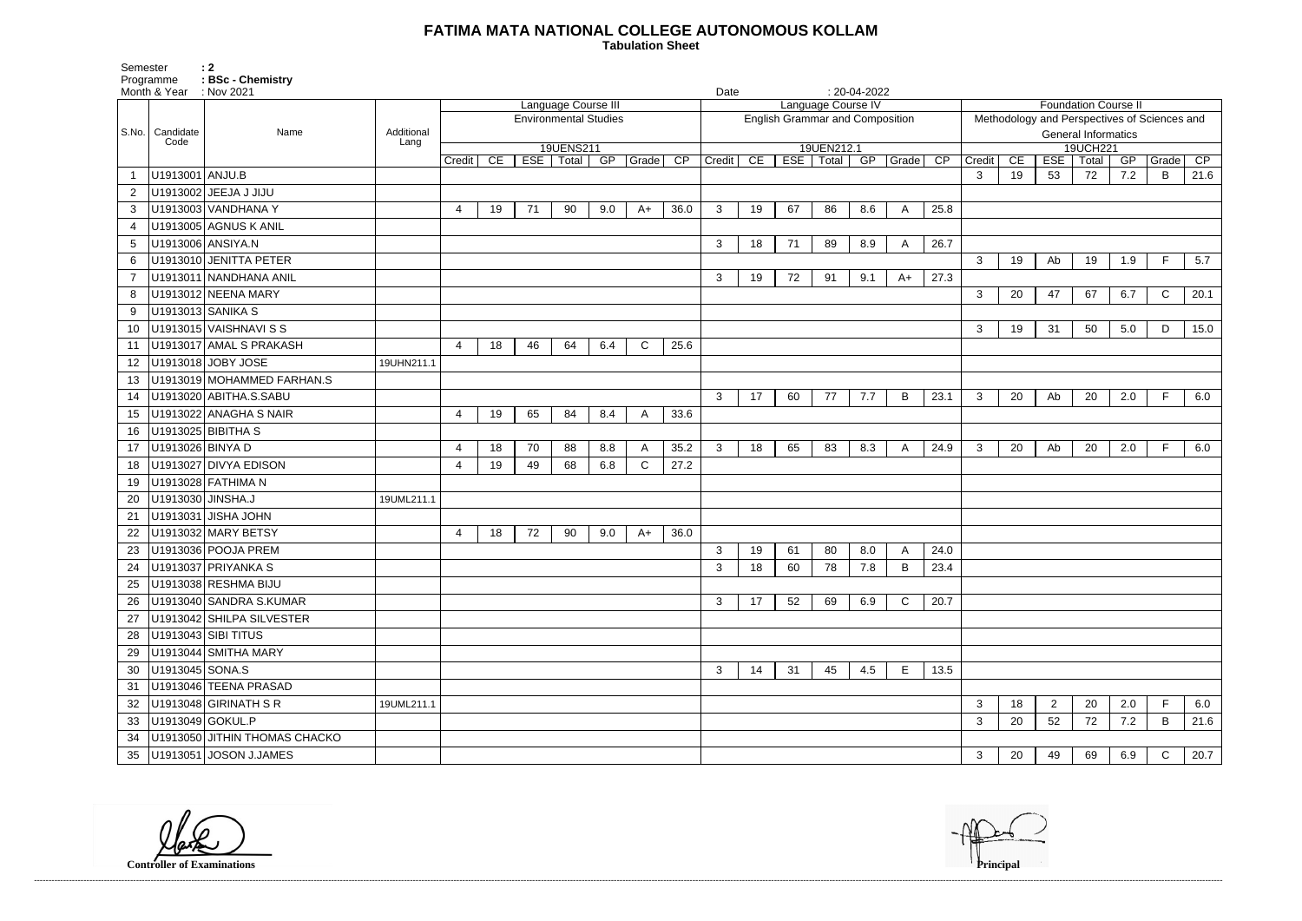## **FATIMA MATA NATIONAL COLLEGE AUTONOMOUS KOLLAM**

 **Tabulation Sheet** 

Programme : BSc - Chemistrv Month & Year : Nov 2021 **Date** : 20-04-2022 S.No. Candidate Code Name **Additional Lang** Language Course III Environmental Studies 19UENS211 Credit | CE | ESE | Total | GP | Grade | CP | Credit | CE | ESE | Total | GP | Grade | CP Language Course IV English Grammar and Composition 19UEN212.1 1 U1913001 ANJU.B 3 19 53 72 7.2 B 21.6 2 U1913002 JEEJA J JIJU 3 U1913003 VANDHANA Y 4 19 71 90 9.0 A+ 36.0 3 19 67 86 8.6 A 25.8 4 | U1913005 AGNUS K ANIL 5 U1913006 ANSIYA.N 3 18 71 89 8.9 A 26.7 6 U1913010 JENITTA PETER 3 19 Ab 19 1.9 F 5.7 7 U1913011 NANDHANA ANIL 3 19 72 91 9.1 A+ 27.3 8 U1913012 NEENA MARY 3 20 47 67 6.7 C 20.1 9 | U1913013 SANIKA S 10 U1913015 VAISHNAVI S S 3 19 31 50 5.0 D 15.0 11 U1913017 AMAL S PRAKASH 4 18 46 64 6.4 C 25.6 12 | U1913018 | JOBY JOSE | 19UHN211.1 13 U1913019 MOHAMMED FARHAN.S 14 U1913020 ABITHA.S.SABU 3 17 60 77 7.7 B 23.1 3 20 Ab 20 2.0 F 6.0 15 U1913022 ANAGHA S NAIR 4 19 65 84 8.4 A 33.6 16 U1913025 BIBITHA S 17 |U1913026|BINYA D | | 4 | 18 | 70 | 88 | 8.8 | A | 35.2 | 3 | 83 | 83 | A | 24.9 | 3 | 20 | Ab | 20 | 2.0 | F | 6.0 18 U1913027 DIVYA EDISON 4 19 49 68 6.8 C 27.2 19 U1913028 FATHIMA N 20 U1913030 JINSHA.J 19UML211.1 21 U1913031 JISHA JOHN 22 U1913032 MARY BETSY 1 4 18 72 90 9.0 A 36.0 23 U1913036 POOJA PREM 24.0 24 U1913037 PRIYANKA S 3 18 60 78 7.8 B 23.4 25 U1913038 RESHMA BIJU 26 U1913040 SANDRA S.KUMAR 3 17 52 69 6.9 C 20.7 27 U1913042 SHILPA SILVESTER 28 U1913043 SIBI TITUS 29 U1913044 SMITHA MARY 30 U1913045 SONA.S 3 14 31 45 4.5 E 13.5 31 U1913046 TEENA PRASAD 32 |U1913048 GIRINATH S R | 19UML211.1 | | | | 3 33 U1913049 GOKUL.P 3 20 52 72 7.2 B 21.6 34 U1913050 JITHIN THOMAS CHACKO 35 U1913051 JOSON J.JAMES 3 3

|        |                          |     | <b>Foundation Course II</b> |     |                                              |                        |  |  |  |  |  |
|--------|--------------------------|-----|-----------------------------|-----|----------------------------------------------|------------------------|--|--|--|--|--|
|        |                          |     | <b>General Informatics</b>  |     | Methodology and Perspectives of Sciences and |                        |  |  |  |  |  |
|        |                          |     | 19UCH221                    |     |                                              |                        |  |  |  |  |  |
| Credit | $\overline{\mathsf{CE}}$ | ESE | Total                       | GP  | Grade                                        | $\overline{\text{CP}}$ |  |  |  |  |  |
| 3      | 19                       | 53  | 72<br>7.2<br>21.6<br>В      |     |                                              |                        |  |  |  |  |  |
|        |                          |     |                             |     |                                              |                        |  |  |  |  |  |
|        |                          |     |                             |     |                                              |                        |  |  |  |  |  |
|        |                          |     |                             |     |                                              |                        |  |  |  |  |  |
|        |                          |     |                             |     |                                              |                        |  |  |  |  |  |
| 3      | 19                       | Ab  | 19                          | 1.9 | F                                            | 5.7                    |  |  |  |  |  |
|        |                          |     |                             |     |                                              |                        |  |  |  |  |  |
| 3      | 20                       | 47  | 67                          | 6.7 | $\mathsf C$                                  | 20.1                   |  |  |  |  |  |
|        |                          |     |                             |     |                                              |                        |  |  |  |  |  |
| 3      | 19                       | 31  | 50                          | 5.0 | D                                            | 15.0                   |  |  |  |  |  |
|        |                          |     |                             |     |                                              |                        |  |  |  |  |  |
|        |                          |     |                             |     |                                              |                        |  |  |  |  |  |
|        |                          |     |                             |     |                                              |                        |  |  |  |  |  |
| 3      | 20                       | Ab  | 20                          | 2.0 | F                                            | 6.0                    |  |  |  |  |  |
|        |                          |     |                             |     |                                              |                        |  |  |  |  |  |
|        |                          |     |                             |     |                                              |                        |  |  |  |  |  |
| 3      | 20                       | Ab  | 20                          | 2.0 | F                                            | 6.0                    |  |  |  |  |  |
|        |                          |     |                             |     |                                              |                        |  |  |  |  |  |
|        |                          |     |                             |     |                                              |                        |  |  |  |  |  |
|        |                          |     |                             |     |                                              |                        |  |  |  |  |  |
|        |                          |     |                             |     |                                              |                        |  |  |  |  |  |
|        |                          |     |                             |     |                                              |                        |  |  |  |  |  |
|        |                          |     |                             |     |                                              |                        |  |  |  |  |  |
|        |                          |     |                             |     |                                              |                        |  |  |  |  |  |
|        |                          |     |                             |     |                                              |                        |  |  |  |  |  |
|        |                          |     |                             |     |                                              |                        |  |  |  |  |  |
|        |                          |     |                             |     |                                              |                        |  |  |  |  |  |
|        |                          |     |                             |     |                                              |                        |  |  |  |  |  |
|        |                          |     |                             |     |                                              |                        |  |  |  |  |  |
|        |                          |     |                             |     |                                              |                        |  |  |  |  |  |
|        |                          |     |                             |     |                                              |                        |  |  |  |  |  |
|        |                          |     |                             |     |                                              |                        |  |  |  |  |  |
| 3      | 18                       | 2   | 20                          | 2.0 | F                                            | 6.0                    |  |  |  |  |  |
| 3      | 20                       | 52  | 72                          | 7.2 | Β                                            | 21.6                   |  |  |  |  |  |
|        |                          |     |                             |     |                                              |                        |  |  |  |  |  |
| 3      | 20                       | 49  | 69                          | 6.9 | C                                            | 20.7                   |  |  |  |  |  |

------------------------------------------------------------------------------------------------------------------------------------------------------------------------------------------------------------------------------------------------------------------------------------------------------------------------------------------------------------------------------------------------------------------------

**Controller of Examinations** 

Semester : 2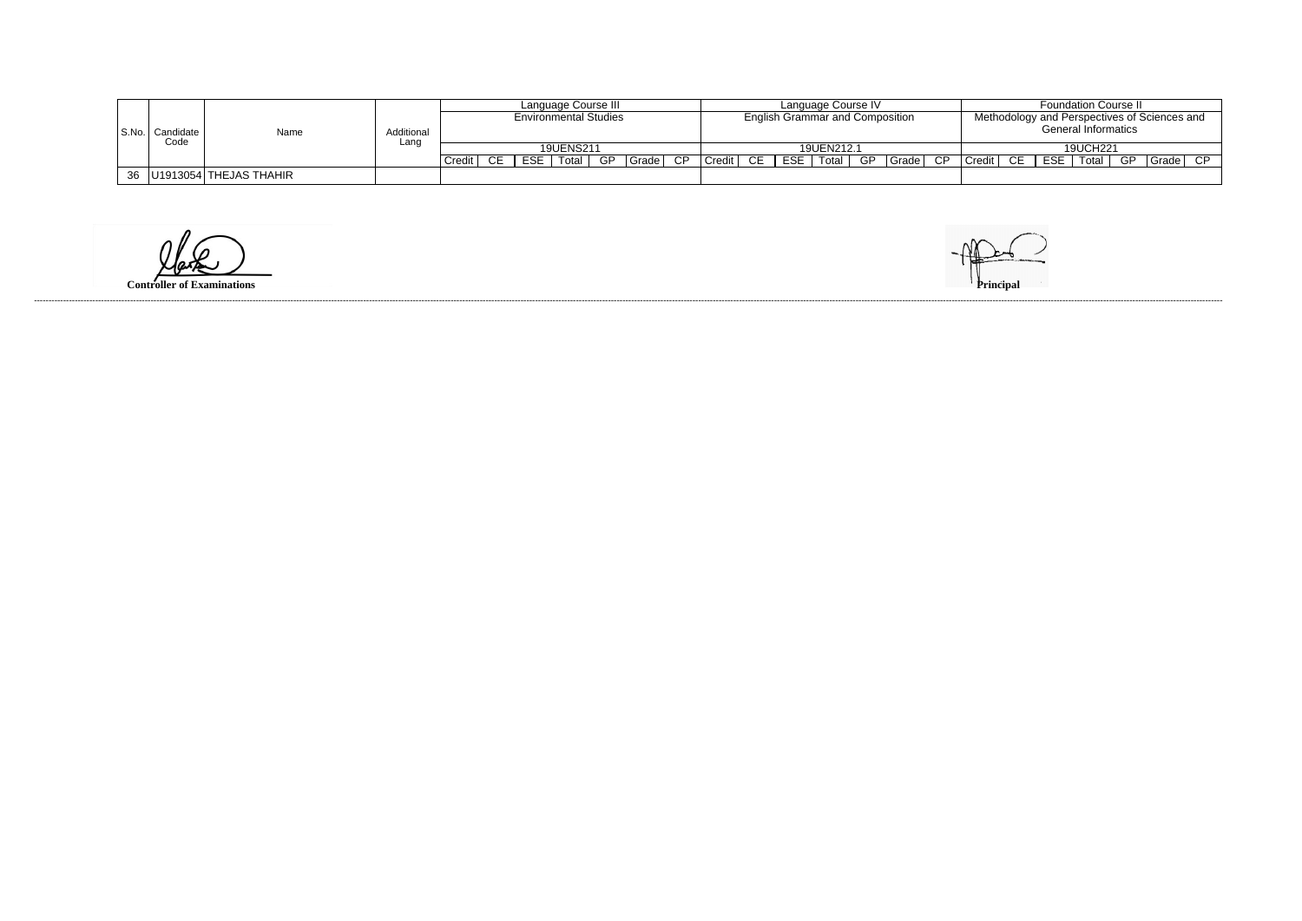|  |                   |                                     |            | Language Course III          |     |            |                  |     |       |                                        | Language Course IV |  |     |            |    |                                              |  | <b>Foundation Course II</b> |    |          |                          |    |       |     |
|--|-------------------|-------------------------------------|------------|------------------------------|-----|------------|------------------|-----|-------|----------------------------------------|--------------------|--|-----|------------|----|----------------------------------------------|--|-----------------------------|----|----------|--------------------------|----|-------|-----|
|  |                   |                                     |            | <b>Environmental Studies</b> |     |            |                  |     |       | <b>English Grammar and Composition</b> |                    |  |     |            |    | Methodology and Perspectives of Sciences and |  |                             |    |          |                          |    |       |     |
|  | S.No.   Candidate | Name                                | Additional |                              |     |            |                  |     |       |                                        |                    |  |     |            |    | <b>General Informatics</b>                   |  |                             |    |          |                          |    |       |     |
|  | Code              |                                     | Lanc       |                              |     |            | <b>19UENS211</b> |     |       |                                        |                    |  |     | 19UEN212.1 |    |                                              |  |                             |    | 19UCH221 |                          |    |       |     |
|  |                   |                                     |            | Credit                       | CE. | <b>ESE</b> | Total $ $        | GP. | Grade | CP.                                    | Credit   CE        |  | ESE | Total      | GP |                                              |  | $ Grade $ CP $ C$ redit     | CE |          | $\overline{ESE}$   Total | GP | Grade | CP. |
|  |                   | $36$ $ $ U1913054 $ $ THEJAS THAHIR |            |                              |     |            |                  |     |       |                                        |                    |  |     |            |    |                                              |  |                             |    |          |                          |    |       |     |

**Controller of Examinations**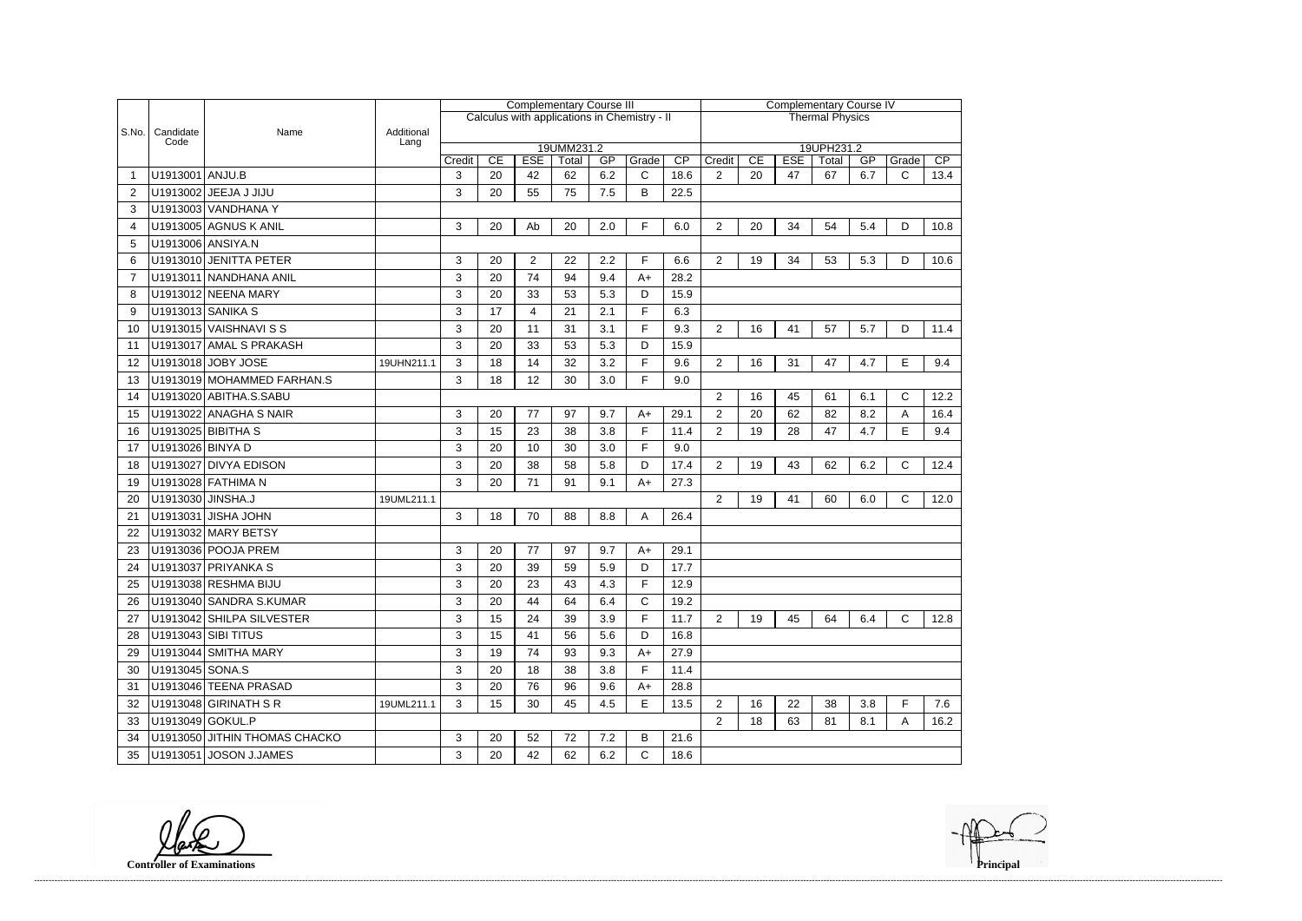|                       |                   |                               |                    | <b>Complementary Course III</b><br>Calculus with applications in Chemistry - II |    |            |                     |     |             |                 |                | <b>Complementary Course IV</b> |            |                        |     |              |                 |  |  |
|-----------------------|-------------------|-------------------------------|--------------------|---------------------------------------------------------------------------------|----|------------|---------------------|-----|-------------|-----------------|----------------|--------------------------------|------------|------------------------|-----|--------------|-----------------|--|--|
|                       |                   |                               |                    |                                                                                 |    |            |                     |     |             |                 |                |                                |            | <b>Thermal Physics</b> |     |              |                 |  |  |
| S.No.                 | Candidate<br>Code | Name                          | Additional<br>Lang |                                                                                 |    |            |                     |     |             |                 |                |                                |            |                        |     |              |                 |  |  |
|                       |                   |                               |                    | Credit                                                                          | CE | <b>ESE</b> | 19UMM231.2<br>Total | GP  | Grade       | $\overline{CP}$ | Credit         | CE                             | <b>ESE</b> | 19UPH231.2<br>Total    | GP  | Grade        | $\overline{CP}$ |  |  |
|                       | U1913001 ANJU.B   |                               |                    | 3                                                                               | 20 | 42         | 62                  | 6.2 | $\mathsf C$ | 18.6            | $\overline{2}$ | 20                             | 47         | 67                     | 6.7 | $\mathsf{C}$ | 13.4            |  |  |
| 2                     |                   | U1913002 JEEJA J JIJU         |                    | 3                                                                               | 20 | 55         | 75                  | 7.5 | B           | 22.5            |                |                                |            |                        |     |              |                 |  |  |
| 3                     |                   | U1913003 VANDHANA Y           |                    |                                                                                 |    |            |                     |     |             |                 |                |                                |            |                        |     |              |                 |  |  |
| $\boldsymbol{\Delta}$ |                   | U1913005 AGNUS K ANIL         |                    | 3                                                                               | 20 | Ab         | 20                  | 2.0 | F.          | 6.0             | $\overline{2}$ | 20                             | 34         | 54                     | 5.4 | D            | 10.8            |  |  |
| 5                     |                   | U1913006 ANSIYA.N             |                    |                                                                                 |    |            |                     |     |             |                 |                |                                |            |                        |     |              |                 |  |  |
| 6                     |                   | U1913010 JENITTA PETER        |                    | 3                                                                               | 20 | 2          | 22                  | 2.2 | F.          | 6.6             | $\overline{2}$ | 19                             | 34         | 53                     | 5.3 | D            | 10.6            |  |  |
| 7                     |                   | U1913011 NANDHANA ANIL        |                    | 3                                                                               | 20 | 74         | 94                  | 9.4 | $A+$        | 28.2            |                |                                |            |                        |     |              |                 |  |  |
| 8                     |                   | U1913012 NEENA MARY           |                    | 3                                                                               | 20 | 33         | 53                  | 5.3 | D           | 15.9            |                |                                |            |                        |     |              |                 |  |  |
| 9                     |                   | U1913013 SANIKA S             |                    | 3                                                                               | 17 | 4          | 21                  | 2.1 | F.          | 6.3             |                |                                |            |                        |     |              |                 |  |  |
| 10                    |                   | U1913015 VAISHNAVI S S        |                    | 3                                                                               | 20 | 11         | 31                  | 3.1 | F           | 9.3             | $\overline{2}$ | 16                             | 41         | 57                     | 5.7 | D            | 11.4            |  |  |
| 11                    |                   | U1913017 AMAL S PRAKASH       |                    | 3                                                                               | 20 | 33         | 53                  | 5.3 | D           | 15.9            |                |                                |            |                        |     |              |                 |  |  |
| 12                    |                   | U1913018 JOBY JOSE            | 19UHN211.1         | 3                                                                               | 18 | 14         | 32                  | 3.2 | F.          | 9.6             | 2              | 16                             | 31         | 47                     | 4.7 | E            | 9.4             |  |  |
| 13                    |                   | U1913019 MOHAMMED FARHAN.S    |                    | 3                                                                               | 18 | 12         | 30                  | 3.0 | F.          | 9.0             |                |                                |            |                        |     |              |                 |  |  |
| 14                    |                   | U1913020 ABITHA.S.SABU        |                    |                                                                                 |    |            |                     |     |             |                 | $\overline{2}$ | 16                             | 45         | 61                     | 6.1 | $\mathsf{C}$ | 12.2            |  |  |
| 15                    |                   | U1913022 ANAGHA S NAIR        |                    | 3                                                                               | 20 | 77         | 97                  | 9.7 | $A+$        | 29.1            | $\overline{2}$ | 20                             | 62         | 82                     | 8.2 | Α            | 16.4            |  |  |
| 16                    |                   | U1913025 BIBITHA S            |                    | 3                                                                               | 15 | 23         | 38                  | 3.8 | F.          | 11.4            | $\overline{2}$ | 19                             | 28         | 47                     | 4.7 | E            | 9.4             |  |  |
| 17                    | U1913026 BINYA D  |                               |                    | 3                                                                               | 20 | 10         | 30                  | 3.0 | F.          | 9.0             |                |                                |            |                        |     |              |                 |  |  |
| 18                    |                   | U1913027 DIVYA EDISON         |                    | 3                                                                               | 20 | 38         | 58                  | 5.8 | D           | 17.4            | 2              | 19                             | 43         | 62                     | 6.2 | C            | 12.4            |  |  |
| 19                    |                   | U1913028 FATHIMA N            |                    | 3                                                                               | 20 | 71         | 91                  | 9.1 | $A+$        | 27.3            |                |                                |            |                        |     |              |                 |  |  |
| 20                    | U1913030 JINSHA.J |                               | 19UML211.1         |                                                                                 |    |            |                     |     |             |                 | $\overline{2}$ | 19                             | 41         | 60                     | 6.0 | $\mathsf{C}$ | 12.0            |  |  |
| 21                    |                   | U1913031 JISHA JOHN           |                    | 3                                                                               | 18 | 70         | 88                  | 8.8 | A           | 26.4            |                |                                |            |                        |     |              |                 |  |  |
| 22                    |                   | U1913032 MARY BETSY           |                    |                                                                                 |    |            |                     |     |             |                 |                |                                |            |                        |     |              |                 |  |  |
| 23                    |                   | U1913036 POOJA PREM           |                    | 3                                                                               | 20 | 77         | 97                  | 9.7 | $A+$        | 29.1            |                |                                |            |                        |     |              |                 |  |  |
| 24                    |                   | U1913037 PRIYANKA S           |                    | 3                                                                               | 20 | 39         | 59                  | 5.9 | D           | 17.7            |                |                                |            |                        |     |              |                 |  |  |
| 25                    |                   | U1913038 RESHMA BIJU          |                    | 3                                                                               | 20 | 23         | 43                  | 4.3 | F           | 12.9            |                |                                |            |                        |     |              |                 |  |  |
| 26                    |                   | U1913040 SANDRA S.KUMAR       |                    | 3                                                                               | 20 | 44         | 64                  | 6.4 | C           | 19.2            |                |                                |            |                        |     |              |                 |  |  |
| 27                    |                   | U1913042 SHILPA SILVESTER     |                    | 3                                                                               | 15 | 24         | 39                  | 3.9 | F.          | 11.7            | $\overline{2}$ | 19                             | 45         | 64                     | 6.4 | $\mathsf{C}$ | 12.8            |  |  |
| 28                    |                   | U1913043 SIBI TITUS           |                    | 3                                                                               | 15 | 41         | 56                  | 5.6 | D           | 16.8            |                |                                |            |                        |     |              |                 |  |  |
| 29                    |                   | U1913044 SMITHA MARY          |                    | 3                                                                               | 19 | 74         | 93                  | 9.3 | $A+$        | 27.9            |                |                                |            |                        |     |              |                 |  |  |
| 30                    | U1913045 SONA.S   |                               |                    | 3                                                                               | 20 | 18         | 38                  | 3.8 | F           | 11.4            |                |                                |            |                        |     |              |                 |  |  |
| 31                    |                   | U1913046 TEENA PRASAD         |                    | $\mathbf{3}$                                                                    | 20 | 76         | 96                  | 9.6 | $A+$        | 28.8            |                |                                |            |                        |     |              |                 |  |  |
| 32                    |                   | U1913048 GIRINATH S R         | 19UML211.1         | 3                                                                               | 15 | 30         | 45                  | 4.5 | Е           | 13.5            | $\overline{2}$ | 16                             | 22         | 38                     | 3.8 | F            | 7.6             |  |  |
| 33                    | U1913049 GOKUL.P  |                               |                    |                                                                                 |    |            |                     |     |             |                 | $\overline{2}$ | 18                             | 63         | 81                     | 8.1 | A            | 16.2            |  |  |
| 34                    |                   | U1913050 JITHIN THOMAS CHACKO |                    | 3                                                                               | 20 | 52         | 72                  | 7.2 | B           | 21.6            |                |                                |            |                        |     |              |                 |  |  |
| 35                    |                   | U1913051 JOSON J.JAMES        |                    | 3                                                                               | 20 | 42         | 62                  | 6.2 | С           | 18.6            |                |                                |            |                        |     |              |                 |  |  |

**Controller of Examinations Principal**

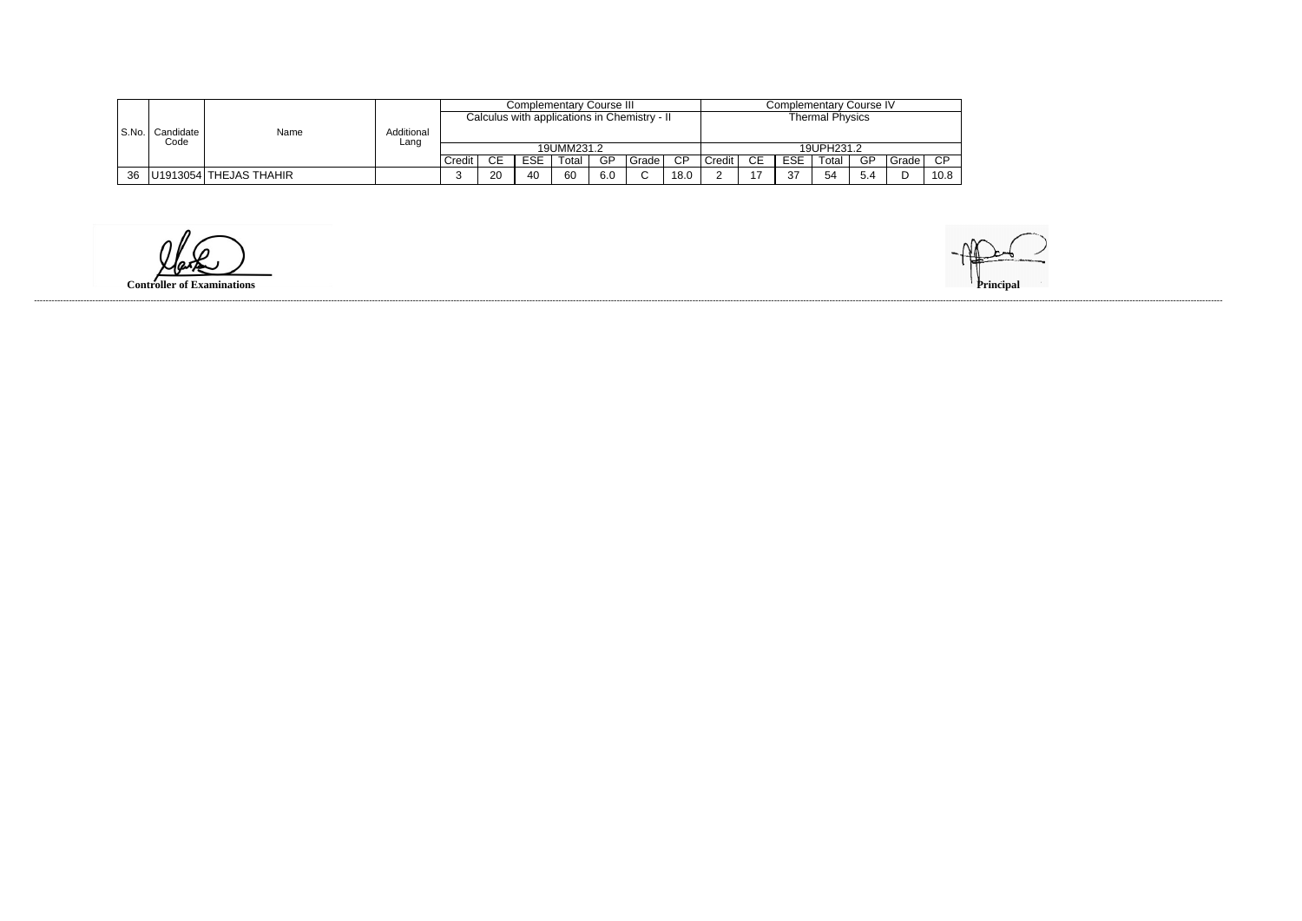|       |                   |                        |            |            |           |            | <b>Complementary Course III</b> |     |                                              | Complementary Course IV |           |                |            |            |     |       |        |
|-------|-------------------|------------------------|------------|------------|-----------|------------|---------------------------------|-----|----------------------------------------------|-------------------------|-----------|----------------|------------|------------|-----|-------|--------|
|       |                   |                        |            |            |           |            |                                 |     | Calculus with applications in Chemistry - II | <b>Thermal Physics</b>  |           |                |            |            |     |       |        |
| S.No. | Candidate<br>Code | Name                   | Additional |            |           |            |                                 |     |                                              |                         |           |                |            |            |     |       |        |
|       |                   |                        | Lang       | 19UMM231.2 |           |            |                                 |     |                                              |                         |           |                |            | 19UPH231.2 |     |       |        |
|       |                   |                        |            | Credit     | <b>CE</b> | <b>ESE</b> | Гоtal                           | GP  | Grade                                        | $\overline{CP}$         | $C$ redit | <b>CE</b>      | <b>ESE</b> | Гоtal      | GP  | Grade | $\cap$ |
| 36    |                   | U1913054 THEJAS THAHIR |            |            | 20        | 40         | 60                              | 6.0 | $\sim$                                       | 18.0                    |           | $\overline{ }$ | $\sim$     | 54         | 5.4 | D     | 10.8   |

**Controller of Examinations**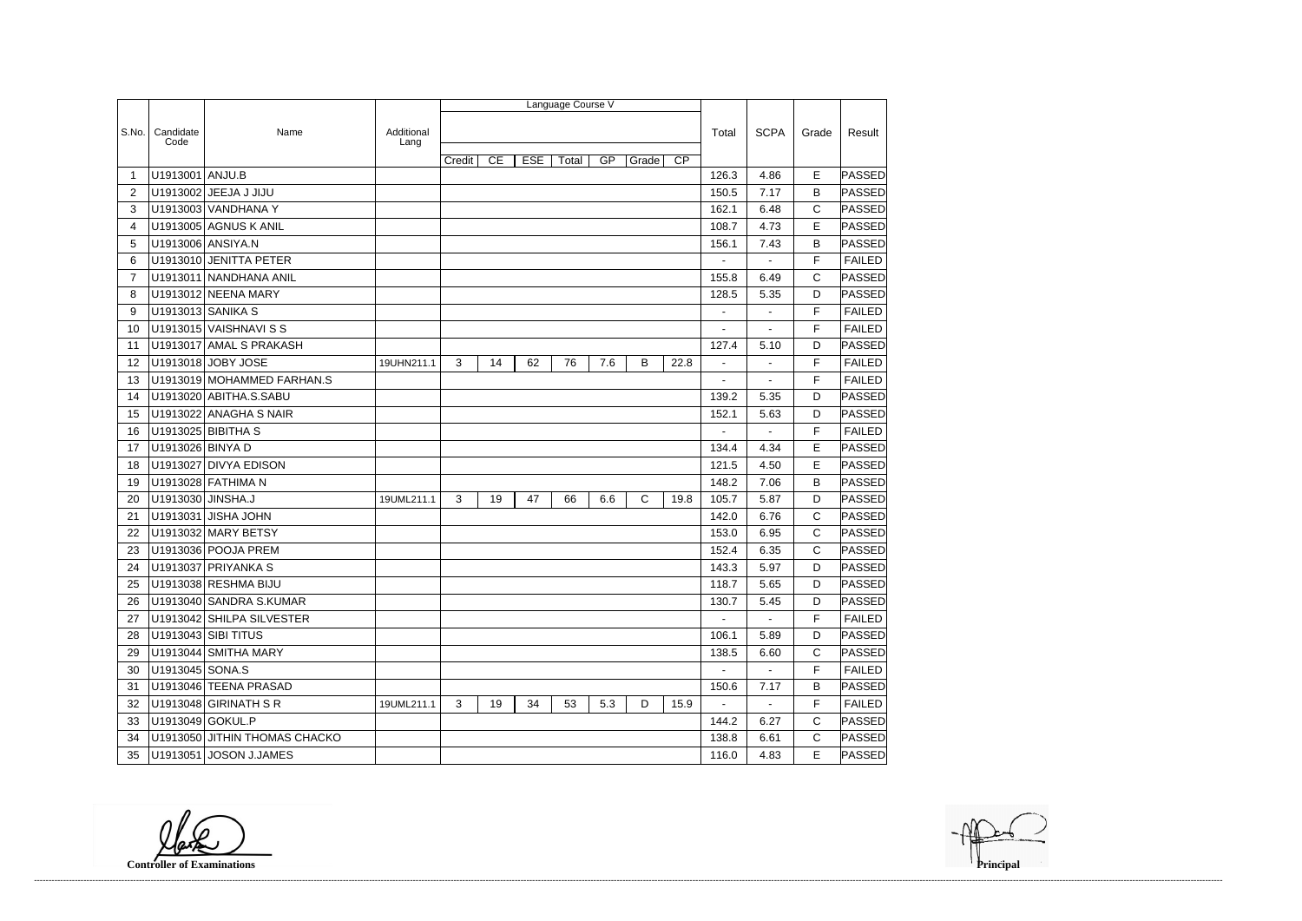|                |                   |                               |                    |        |    |            | Language Course V |     |       |                 |                |                |              |               |
|----------------|-------------------|-------------------------------|--------------------|--------|----|------------|-------------------|-----|-------|-----------------|----------------|----------------|--------------|---------------|
|                |                   |                               |                    |        |    |            |                   |     |       |                 |                |                |              |               |
| S.No.          | Candidate<br>Code | Name                          | Additional<br>Lang |        |    |            |                   |     |       |                 | Total          | <b>SCPA</b>    | Grade        | Result        |
|                |                   |                               |                    | Credit | CE | <b>ESE</b> | Total             | GP  | Grade | $\overline{CP}$ |                |                |              |               |
| 1              | U1913001 ANJU.B   |                               |                    |        |    |            |                   |     |       |                 | 126.3          | 4.86           | E            | <b>PASSED</b> |
| $\overline{2}$ |                   | U1913002 JEEJA J JIJU         |                    |        |    |            |                   |     |       |                 | 150.5          | 7.17           | B            | <b>PASSED</b> |
| 3              |                   | U1913003 VANDHANA Y           |                    |        |    |            |                   |     |       |                 | 162.1          | 6.48           | $\mathsf C$  | <b>PASSED</b> |
| 4              |                   | U1913005 AGNUS K ANIL         |                    |        |    |            |                   |     |       |                 | 108.7          | 4.73           | E            | PASSED        |
| 5              |                   | U1913006 ANSIYA.N             |                    |        |    |            |                   |     |       |                 | 156.1          | 7.43           | B            | PASSED        |
| 6              |                   | U1913010 JENITTA PETER        |                    |        |    |            |                   |     |       |                 |                |                | F            | <b>FAILED</b> |
| $\overline{7}$ | U1913011          | NANDHANA ANIL                 |                    |        |    |            |                   |     |       |                 | 155.8          | 6.49           | $\mathsf C$  | <b>PASSED</b> |
| 8              |                   | U1913012 NEENA MARY           |                    |        |    |            |                   |     |       |                 | 128.5          | 5.35           | D            | <b>PASSED</b> |
| 9              |                   | U1913013 SANIKA S             |                    |        |    |            |                   |     |       |                 | $\blacksquare$ | ä,             | F            | <b>FAILED</b> |
| 10             |                   | U1913015 VAISHNAVI S S        |                    |        |    |            |                   |     |       |                 |                |                | F            | <b>FAILED</b> |
| 11             |                   | U1913017 AMAL S PRAKASH       |                    |        |    |            |                   |     |       |                 | 127.4          | 5.10           | D            | <b>PASSED</b> |
| 12             |                   | U1913018 JOBY JOSE            | 19UHN211.1         | 3      | 14 | 62         | 76                | 7.6 | B     | 22.8            | $\blacksquare$ | $\blacksquare$ | F            | <b>FAILED</b> |
| 13             |                   | U1913019 MOHAMMED FARHAN.S    |                    |        |    |            |                   |     |       |                 |                |                | F            | <b>FAILED</b> |
| 14             |                   | U1913020 ABITHA.S.SABU        |                    |        |    |            |                   |     |       |                 | 139.2          | 5.35           | D            | PASSED        |
| 15             | U1913022          | <b>ANAGHA S NAIR</b>          |                    |        |    |            |                   |     |       |                 | 152.1          | 5.63           | D            | PASSED        |
| 16             |                   | U1913025 BIBITHA S            |                    |        |    |            |                   |     |       |                 |                |                | F            | <b>FAILED</b> |
| 17             | U1913026 BINYA D  |                               |                    |        |    |            |                   |     |       |                 | 134.4          | 4.34           | E            | <b>PASSED</b> |
| 18             | U1913027          | <b>DIVYA EDISON</b>           |                    |        |    |            |                   |     |       |                 | 121.5          | 4.50           | E            | <b>PASSED</b> |
| 19             |                   | U1913028 FATHIMA N            |                    |        |    |            |                   |     |       |                 | 148.2          | 7.06           | B            | PASSED        |
| 20             | U1913030 JINSHA.J |                               | 19UML211.1         | 3      | 19 | 47         | 66                | 6.6 | C     | 19.8            | 105.7          | 5.87           | D            | PASSED        |
| 21             |                   | U1913031 JISHA JOHN           |                    |        |    |            |                   |     |       |                 | 142.0          | 6.76           | $\mathsf C$  | <b>PASSED</b> |
| 22             |                   | U1913032 MARY BETSY           |                    |        |    |            |                   |     |       |                 | 153.0          | 6.95           | C            | PASSED        |
| 23             |                   | U1913036 POOJA PREM           |                    |        |    |            |                   |     |       |                 | 152.4          | 6.35           | $\mathsf{C}$ | <b>PASSED</b> |
| 24             | U1913037          | <b>PRIYANKA S</b>             |                    |        |    |            |                   |     |       |                 | 143.3          | 5.97           | D            | <b>PASSED</b> |
| 25             |                   | U1913038 RESHMA BIJU          |                    |        |    |            |                   |     |       |                 | 118.7          | 5.65           | D            | <b>PASSED</b> |
| 26             |                   | U1913040 SANDRA S.KUMAR       |                    |        |    |            |                   |     |       |                 | 130.7          | 5.45           | D            | <b>PASSED</b> |
| 27             |                   | U1913042 SHILPA SILVESTER     |                    |        |    |            |                   |     |       |                 | $\sim$         | $\sim$         | F            | <b>FAILED</b> |
| 28             |                   | U1913043 SIBI TITUS           |                    |        |    |            |                   |     |       |                 | 106.1          | 5.89           | D            | <b>PASSED</b> |
| 29             |                   | U1913044 SMITHA MARY          |                    |        |    |            |                   |     |       |                 | 138.5          | 6.60           | C            | <b>PASSED</b> |
| 30             | U1913045 SONA.S   |                               |                    |        |    |            |                   |     |       |                 | $\sim$         | $\blacksquare$ | F            | <b>FAILED</b> |
| 31             |                   | U1913046 TEENA PRASAD         |                    |        |    |            |                   |     |       |                 | 150.6          | 7.17           | Β            | <b>PASSED</b> |
| 32             |                   | U1913048 GIRINATH S R         | 19UML211.1         | 3      | 19 | 34         | 53                | 5.3 | D     | 15.9            | $\sim$         | $\sim$         | F            | <b>FAILED</b> |
| 33             | U1913049 GOKUL.P  |                               |                    |        |    |            |                   |     |       |                 | 144.2          | 6.27           | C            | <b>PASSED</b> |
| 34             |                   | U1913050 JITHIN THOMAS CHACKO |                    |        |    |            |                   |     |       |                 | 138.8          | 6.61           | $\mathsf{C}$ | <b>PASSED</b> |
| 35             |                   | U1913051 JOSON J.JAMES        |                    |        |    |            |                   |     |       |                 | 116.0          | 4.83           | E            | <b>PASSED</b> |

**Controller of Examinations Principal**